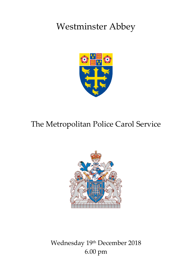# Westminster Abbey



# The Metropolitan Police Carol Service



Wednesday 19th December 2018 6.00 pm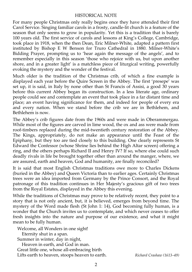## HISTORICAL NOTE

For many people Christmas only really begins once they have attended their first Carol Service. Singing familiar carols in a frosty, candle-lit church is a feature of the season that only seems to grow in popularity. Yet this is a tradition that is barely 100 years old. The first service of carols and lessons at King's College, Cambridge, took place in 1918, when the then Dean, Eric Milner-White, adapted a pattern first instituted by Bishop E W Benson for Truro Cathedral in 1880. Milner-White's Bidding Prayer, prompting us to 'hear again the message of the angels', and to remember especially in this season 'those who rejoice with us, but upon another shore, and in a greater light' is a matchless piece of liturgical writing, powerfully evoking the mystery and the wonder of the festival.

Much older is the tradition of the Christmas crib, of which a fine example is displayed each year before the Quire Screen in the Abbey. The first 'presepe' was set up, it is said, in Italy by none other than St Francis of Assisi, a good 30 years before this current Abbey began its construction. In a less literate age, ordinary people could see and contemplate an event that took place in a far distant time and place; an event having significance for them, and indeed for people of every era and every nation. When we stand before the crib we are in Bethlehem, and Bethlehem is now.

The Abbey's crib figures date from the 1960s and were made in Oberammergau. While most of the figures are carved in lime wood, the ox and ass were made from roof-timbers replaced during the mid-twentieth century restoration of the Abbey. The Kings, appropriately, do not make an appearance until the Feast of the Epiphany, but they too are tied closely to this building. One clearly represents St Edward the Confessor (whose Shrine lies behind the High Altar screen) offering a ring, and the others perhaps Richard II and Henry IV? If so, where else could such deadly rivals in life be brought together other than around the manger, where, we are assured, earth and heaven, God and humanity, are finally reconciled?

It is said that most English Christmas traditions owe more to Charles Dickens (buried in the Abbey) and Queen Victoria than to earlier ages. Certainly Christmas trees were an idea imported from Germany by the Prince Consort, and the Royal patronage of this tradition continues in Her Majesty's gracious gift of two trees from the Royal Estates, displayed in the Abbey this evening.

While the traditions of Christmas may prove to be relatively recent, they point to a story that is not only ancient, but, it is believed, emerges from beyond time. The mystery of the Word made flesh (St John 1: 14), God becoming fully human, is a wonder that the Church invites us to contemplate, and which never ceases to offer fresh insights into the nature and purpose of our existence, and what it might mean to be fully human.

Welcome, all Wonders in one sight!

Eternity shut in a span.

Summer in winter, day in night,

Heaven in earth, and God in man.

Great little one, whose all-embracing birth

Lifts earth to heaven, stoops heaven to earth. *Richard Crashaw (1613–49)*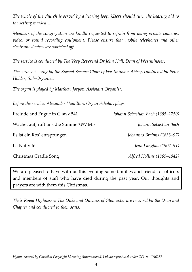*The whole of the church is served by a hearing loop. Users should turn the hearing aid to the setting marked* T*.*

*Members of the congregation are kindly requested to refrain from using private cameras, video, or sound recording equipment. Please ensure that mobile telephones and other electronic devices are switched off.*

*The service is conducted by The Very Reverend Dr John Hall, Dean of Westminster.*

*The service is sung by the Special Service Choir of Westminster Abbey, conducted by Peter Holder, Sub-Organist.*

*The organ is played by Matthew Jorysz, Assistant Organist.*

*Before the service, Alexander Hamilton, Organ Scholar, plays*

Prelude and Fugue in G BWV 541 *Johann Sebastian Bach (1685–1750)* Wachet auf, ruft uns die Stimme BWV 645 *Johann Sebastian Bach* Es ist ein Ros' entsprungen *Johannes Brahms (1833–97)* La Nativité *Jean Langlais (1907–91)* Christmas Cradle Song *Alfred Hollins (1865–1942)*

We are pleased to have with us this evening some families and friends of officers and members of staff who have died during the past year. Our thoughts and prayers are with them this Christmas.

*Their Royal Highnesses The Duke and Duchess of Gloucester are received by the Dean and Chapter and conducted to their seats.*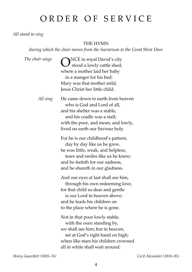# ORDER OF SERVICE

*All stand to sing*

# THE HYMN

*during which the choir moves from the Sacrarium to the Great West Door*

| The choir sings | NCE in royal David's city<br>stood a lowly cattle shed,<br>where a mother laid her baby<br>in a manger for his bed:<br>Mary was that mother mild,<br>Jesus Christ her little child.                                |
|-----------------|--------------------------------------------------------------------------------------------------------------------------------------------------------------------------------------------------------------------|
| All sing        | He came down to earth from heaven<br>who is God and Lord of all,<br>and his shelter was a stable,<br>and his cradle was a stall;<br>with the poor, and mean, and lowly,<br>lived on earth our Saviour holy.        |
|                 | For he is our childhood's pattern,<br>day by day like us he grew,<br>he was little, weak, and helpless,<br>tears and smiles like us he knew;<br>and he feeleth for our sadness,<br>and he shareth in our gladness. |
|                 | And our eyes at last shall see him,<br>through his own redeeming love,<br>for that child so dear and gentle<br>is our Lord in heaven above;<br>and he leads his children on<br>to the place where he is gone.      |
|                 | Not in that poor lowly stable,<br>with the oxen standing by,<br>we shall see him; but in heaven,<br>set at God's right hand on high;<br>when like stars his children crowned<br>all in white shall wait around.    |

*Henry Gauntlett (1805–76) Cecil Alexander (1818–95)*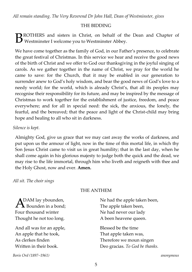*All remain standing. The Very Reverend Dr John Hall, Dean of Westminster, gives*

# THE BIDDING

ROTHERS and sisters in Christ, on behalf of the Dean and Chapter of BROTHERS and sisters in Christ, on behalf of the Westminster I welcome you to Westminster Abbey.

We have come together as the family of God, in our Father's presence, to celebrate the great festival of Christmas. In this service we hear and receive the good news of the birth of Christ and we offer to God our thanksgiving in the joyful singing of carols. As we gather together in the name of Christ, we pray for the world he came to save: for the Church, that it may be enabled in our generation to surrender anew to God's holy wisdom, and bear the good news of God's love to a needy world; for the world, which is already Christ's, that all its peoples may recognise their responsibility for its future, and may be inspired by the message of Christmas to work together for the establishment of justice, freedom, and peace everywhere; and for all in special need: the sick, the anxious, the lonely, the fearful, and the bereaved; that the peace and light of the Christ-child may bring hope and healing to all who sit in darkness.

## *Silence is kept.*

Almighty God, give us grace that we may cast away the works of darkness, and put upon us the armour of light, now in the time of this mortal life, in which thy Son Jesus Christ came to visit us in great humility; that in the last day, when he shall come again in his glorious majesty to judge both the quick and the dead, we may rise to the life immortal, through him who liveth and reigneth with thee and the Holy Ghost, now and ever. **Amen.**

*All sit. The choir sings*

## THE ANTHEM

 $\bigwedge^{\text{DAM lay}}$  ybounden,<br>Bounden in a bond **1** Bounden in a bond: Four thousand winter Thought he not too long.

And all was for an apple, An apple that he took, As clerkes finden Written in their book.

*Boris Ord (1897–1961) anonymous*

Ne had the apple taken been, The apple taken been, Ne had never our lady A been heavene queen.

Blessed be the time That apple taken was, Therefore we moun singen Deo gracias. *To God be thanks.*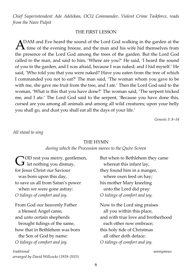*Chief Superintendent Ade Adelekan, OCU Commander, Violent Crime Taskforce, reads from the Nave Pulpit*

#### THE FIRST LESSON

DAM and Eve heard the sound of the Lord God walking in the garden at the  $A<sup>DAM</sup>$  and Eve heard the sound of the Lord God walking in the garden at the time of the evening breeze, and the man and his wife hid themselves from the presence of the Lord God among the trees of the garden. But the Lord God called to the man, and said to him, 'Where are you?' He said, 'I heard the sound of you in the garden, and I was afraid, because I was naked; and I hid myself.' He said, 'Who told you that you were naked? Have you eaten from the tree of which I commanded you not to eat?' The man said, 'The woman whom you gave to be with me, she gave me fruit from the tree, and I ate.' Then the Lord God said to the woman, 'What is this that you have done?' The woman said, 'The serpent tricked me, and I ate.' The Lord God said to the serpent, 'Because you have done this, cursed are you among all animals and among all wild creatures; upon your belly you shall go, and dust you shall eat all the days of your life.'

*Genesis 3: 8–14* 

*All stand to sing*

### THE HYMN

#### *during which the Procession moves to the Quire Screen*

OD rest you merry, gentlemen, COD rest you merry, gentl<br>let nothing you dismay, for Jesus Christ our Saviour was born upon this day, to save us all from Satan's power when we were gone astray: *O tidings of comfort and joy.*

From God our heavenly Father a blessed Angel came, and unto certain shepherds brought tidings of the same, how that in Bethlehem was born the Son of God by name: *O tidings of comfort and joy.*

But when to Bethlehem they came whereat this infant lay, they found him in a manger, where oxen feed on hay; his mother Mary kneeling unto the Lord did pray: *O tidings of comfort and joy.*

Now to the Lord sing praises all you within this place, and with true love and brotherhood each other now embrace; this holy tide of Christmas all other doth deface: *O tidings of comfort and joy.*

*traditional anonymous arranged by David Willcocks (1919–2015)*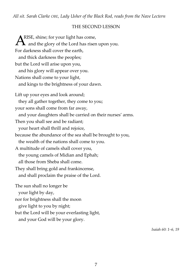*All sit. Sarah Clarke OBE, Lady Usher of the Black Rod, reads from the Nave Lectern*

## THE SECOND LESSON

RISE, shine; for your light has come, and the glory of the Lord has risen upon you. For darkness shall cover the earth, and thick darkness the peoples; but the Lord will arise upon you, and his glory will appear over you. Nations shall come to your light, and kings to the brightness of your dawn. Lift up your eyes and look around; they all gather together, they come to you; your sons shall come from far away, and your daughters shall be carried on their nurses' arms. Then you shall see and be radiant; your heart shall thrill and rejoice, because the abundance of the sea shall be brought to you, the wealth of the nations shall come to you. A multitude of camels shall cover you, the young camels of Midian and Ephah; all those from Sheba shall come. They shall bring gold and frankincense, and shall proclaim the praise of the Lord. The sun shall no longer be your light by day, nor for brightness shall the moon give light to you by night; but the Lord will be your everlasting light, and your God will be your glory.  $\mathbf{A}^{\scriptscriptstyle\mathrm{R}}$ 

*Isaiah 60: 1–6, 19*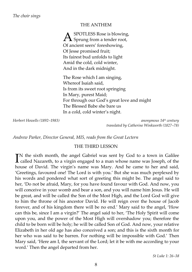## THE ANTHEM

SPOTLESS Rose is blowing, Sprung from a tender root, Of ancient seers' foreshowing, Of Jesse promised fruit; Its fairest bud unfolds to light Amid the cold, cold winter, And in the dark midnight.  $\overline{A}$ 

The Rose which I am singing, Whereof Isaiah said, Is from its sweet root springing In Mary, purest Maid; For through our God's great love and might The Blessed Babe she bare us In a cold, cold winter's night.

*Herbert Howells (1892–1983) anonymous 14th century translated by Catherine Winkworth (1827–78)*

*Andrew Parker, Director General, MI5, reads from the Great Lectern*

### THE THIRD LESSON

TN the sixth month, the angel Gabriel was sent by God to a town in Galilee IN the sixth month, the angel Gabriel was sent by God to a town in Galilee<br>
called Nazareth, to a virgin engaged to a man whose name was Joseph, of the house of David. The virgin's name was Mary. And he came to her and said, 'Greetings, favoured one! The Lord is with you.' But she was much perplexed by his words and pondered what sort of greeting this might be. The angel said to her, 'Do not be afraid, Mary, for you have found favour with God. And now, you will conceive in your womb and bear a son, and you will name him Jesus. He will be great, and will be called the Son of the Most High, and the Lord God will give to him the throne of his ancestor David. He will reign over the house of Jacob forever, and of his kingdom there will be no end.' Mary said to the angel, 'How can this be, since I am a virgin?' The angel said to her, 'The Holy Spirit will come upon you, and the power of the Most High will overshadow you; therefore the child to be born will be holy; he will be called Son of God. And now, your relative Elizabeth in her old age has also conceived a son; and this is the sixth month for her who was said to be barren. For nothing will be impossible with God.' Then Mary said, 'Here am I, the servant of the Lord; let it be with me according to your word.' Then the angel departed from her.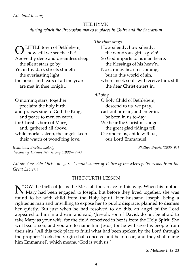# THE HYMN

*during which the Procession moves to places in Quire and the Sacrarium*

LITTLE town of Bethlehem, how still we see thee lie! Above thy deep and dreamless sleep the silent stars go by. Yet in thy dark streets shineth the everlasting light; the hopes and fears of all the years are met in thee tonight. O

O morning stars, together proclaim the holy birth, and praises sing to God the King, and peace to men on earth; for Christ is born of Mary; and, gathered all above, while mortals sleep, the angels keep their watch of wond'ring love.

*traditional English melody Phillips Brooks (1835–93) descant by Thomas Armstrong (1898–1994)*

*The choir sings* How silently, how silently, the wondrous gift is giv'n! So God imparts to human hearts the blessings of his heav'n. No ear may hear his coming; but in this world of sin, where meek souls will receive him, still the dear Christ enters in.

*All sing*

O holy Child of Bethlehem, descend to us, we pray; cast out our sin, and enter in, be born in us to-day. We hear the Christmas angels the great glad tidings tell: O come to us, abide with us, our Lord Emmanuel.

*All sit. Cressida Dick CBE QPM, Commissioner of Police of the Metropolis, reads from the Great Lectern*

# THE FOURTH LESSON

N<sup>OW</sup> the birth of Jesus the Messiah took place in this way. When his mother Mary had been engaged to Joseph, but before they lived together, she was Mary had been engaged to Joseph, but before they lived together, she was found to be with child from the Holy Spirit. Her husband Joseph, being a righteous man and unwilling to expose her to public disgrace, planned to dismiss her quietly. But just when he had resolved to do this, an angel of the Lord appeared to him in a dream and said, 'Joseph, son of David, do not be afraid to take Mary as your wife, for the child conceived in her is from the Holy Spirit. She will bear a son, and you are to name him Jesus, for he will save his people from their sins.' All this took place to fulfil what had been spoken by the Lord through the prophet: 'Look, the virgin shall conceive and bear a son, and they shall name him Emmanuel', which means, 'God is with us.'

*St Matthew 1: 18–23*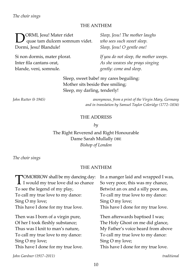*The choir sings* 

# THE ANTHEM

ORMI, Jesu! Mater ridet quae tam dulcem somnum videt. Dormi, Jesu! Blandule! D<br>D

Si non dormis, mater plorat. Inter fila cantans orat, blande, veni, somnule.

*Sleep, Jesu! The mother laughs who sees such sweet sleep. Sleep, Jesu! O gentle one!*

*If you do not sleep, the mother weeps. As she weaves she prays singing gently: come and sleep.*

Sleep, sweet babe! my cares beguiling: Mother sits beside thee smiling; Sleep, my darling, tenderly!

*John Rutter (b 1945) anonymous, from a print of the Virgin Mary, Germany and in translation by Samuel Taylor Coleridge (1772–1834)*

## THE ADDRESS

*by*

The Right Reverend and Right Honourable Dame Sarah Mullally DBE *Bishop of London*

*The choir sings*

# THE ANTHEM

| TOMORROW shall be my dancing day:    | In a manger laid and wrapped I was, |
|--------------------------------------|-------------------------------------|
| I I would my true love did so chance | So very poor, this was my chance,   |
| To see the legend of my play,        | Betwixt an ox and a silly poor ass, |
| To call my true love to my dance:    | To call my true love to my dance:   |
| Sing O my love;                      | Sing O my love;                     |
| This have I done for my true love.   | This have I done for my true love.  |
| Then was I born of a virgin pure,    | Then afterwards baptised I was;     |
| Of her I took fleshly substance;     | The Holy Ghost on me did glance,    |
| Thus was I knit to man's nature,     | My Father's voice heard from above  |
| To call my true love to my dance:    | To call my true love to my dance:   |
| Sing O my love;                      | Sing O my love;                     |
| This have I done for my true love.   | This have I done for my true love.  |
| John Gardner (1917–2011)             | traditional                         |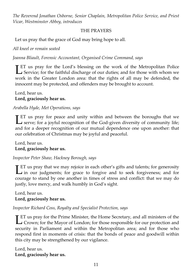*The Reverend Jonathan Osborne, Senior Chaplain, Metropolitan Police Service, and Priest Vicar, Westminster Abbey, introduces*

# THE PRAYERS

Let us pray that the grace of God may bring hope to all.

*All kneel or remain seated* 

*Joanna Bliault, Forensic Accountant, Organised Crime Command, says*

**T** ET us pray for the Lord's blessing on the work of the Metropolitan Police **ET** us pray for the Lord's blessing on the work of the Metropolitan Police<br>Service; for the faithful discharge of our duties; and for those with whom we work in the Greater London area: that the rights of all may be defended, the innocent may be protected, and offenders may be brought to account.

Lord, hear us. **Lord, graciously hear us.** 

# *Arabella Hyde, Met Operations, says*

ET us pray for peace and unity within and between the boroughs that we **ET** us pray for peace and unity within and between the boroughs that we serve; for a joyful recognition of the God-given diversity of community life; and for a deeper recognition of our mutual dependence one upon another: that our celebration of Christmas may be joyful and peaceful.

Lord, hear us. **Lord, graciously hear us.**

*Inspector Peter Shaw, Hackney Borough, says*

ET us pray that we may rejoice in each other's gifts and talents; for generosity **IFT** us pray that we may rejoice in each other's gifts and talents; for generosity in our judgments; for grace to forgive and to seek forgiveness; and for courage to stand by one another in times of stress and conflict: that we may do justly, love mercy, and walk humbly in God's sight.

Lord, hear us. **Lord, graciously hear us.**

*Inspector Richard Coss, Royalty and Specialist Protection, says*

 $\mathbf{T}$  ET us pray for the Prime Minister, the Home Secretary, and all ministers of the **LET** us pray for the Prime Minister, the Home Secretary, and all ministers of the Crown; for the Mayor of London; for those responsible for our protection and security in Parliament and within the Metropolitan area; and for those who respond first in moments of crisis: that the bonds of peace and goodwill within this city may be strengthened by our vigilance.

Lord, hear us. **Lord, graciously hear us.**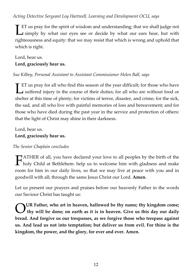*Acting Detective Sergeant Loy Hartwell, Learning and Development OCU, says*

ET us pray for the spirit of wisdom and understanding; that we shall judge not simply by what our eyes see or decide by what our ears hear, but with righteousness and equity: that we may resist that which is wrong and uphold that which is right.  $\prod_{i=1}^E$ 

Lord, hear us. **Lord, graciously hear us.**

*Sue Kilbey, Personal Assistant to Assistant Commissioner Helen Ball, says*

 $\mathbf{T}$  ET us pray for all who find this season of the year difficult; for those who have suffered injury in the course of their duties; for all who are without food or shelter at this time of plenty; for victims of terror, disaster, and crime; for the sick, the sad, and all who live with painful memories of loss and bereavement; and for those who have died during the past year in the service and protection of others: that the light of Christ may shine in their darkness.  $\prod_{i=1}^{E}$ 

Lord, hear us. **Lord, graciously hear us.**

# *The Senior Chaplain concludes*

ATHER of all, you have declared your love to all peoples by the birth of the holy Child at Bethlehem: help us to welcome him with gladness and make room for him in our daily lives, so that we may live at peace with you and in goodwill with all; through the same Jesus Christ our Lord. **Amen.** F

Let us present our prayers and praises before our heavenly Father in the words our Saviour Christ has taught us:

**UR Father, who art in heaven, hallowed be thy name; thy kingdom come; thy will be done; on earth as it is in heaven. Give us this day our daily bread. And forgive us our trespasses, as we forgive those who trespass against us. And lead us not into temptation; but deliver us from evil. For thine is the kingdom, the power, and the glory, for ever and ever. Amen.** O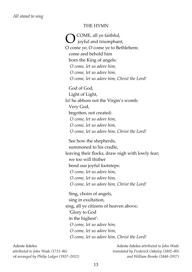### THE HYMN

COME, all ye faithful, joyful and triumphant, O come ye, O come ye to Bethlehem; come and behold him born the King of angels:  *O come, let us adore him, O come, let us adore him, O come, let us adore him, Christ the Lord!* God of God, Light of Light, lo! he abhors not the Virgin's womb; Very God, begotten, not created:  *O come, let us adore him, O come, let us adore him, O come, let us adore him, Christ the Lord!* See how the shepherds, summoned to his cradle, leaving their flocks, draw nigh with lowly fear; we too will thither bend our joyful footsteps:  *O come, let us adore him, O come, let us adore him, O come, let us adore him, Christ the Lord!* Sing, choirs of angels, sing in exultation, sing, all ye citizens of heaven above; 'Glory to God in the highest':  *O come, let us adore him, O come, let us adore him,* O

 *O come, let us adore him, Christ the Lord!*

*attributed to John Wade (1711–86) translated by Frederick Oakeley (1802–80) v4 arranged by Philip Ledger (1937–2012) and William Brooke (1848–1917)*

Adeste fideles **Adeste fideles** *Adeste fideles attributed to John Wade*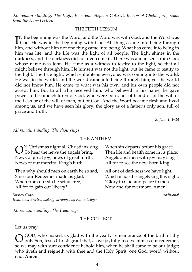*All remain standing. The Right Reverend Stephen Cottrell, Bishop of Chelmsford, reads from the Nave Lectern*

## THE FIFTH LESSON

N the beginning was the Word, and the Word was with God, and the Word was IN the beginning was the Word, and the Word was with God, and the Word was<br>I God. He was in the beginning with God. All things came into being through him, and without him not one thing came into being. What has come into being in him was life, and the life was the light of all people. The light shines in the darkness, and the darkness did not overcome it. There was a man sent from God, whose name was John. He came as a witness to testify to the light, so that all might believe through him. He himself was not the light, but he came to testify to the light. The true light, which enlightens everyone, was coming into the world. He was in the world, and the world came into being through him; yet the world did not know him. He came to what was his own, and his own people did not accept him. But to all who received him, who believed in his name, he gave power to become children of God, who were born, not of blood or of the will of the flesh or of the will of man, but of God. And the Word became flesh and lived among us, and we have seen his glory, the glory as of a father's only son, full of grace and truth.

*St John 1: 1–14*

*All remain standing. The choir sings*

#### THE ANTHEM

N Christmas night all Christians sing,  $\mathbf{C}^{\text{N}~\text{Christmas}}$  night all Christians sing, News of great joy, news of great mirth, News of our merciful King's birth.

Then why should men on earth be so sad, Since our Redeemer made us glad, When from our sin he set us free, All for to gain our liberty?

When sin departs before his grace, Then life and health come in its place; Angels and men with joy may sing All for to see the new-born King.

All out of darkness we have light, Which made the angels sing this night: 'Glory to God and peace to men, Now and for evermore. Amen'.

Sussex Carol *traditional*

*traditional English melody, arranged by Philip Ledger*

*All remain standing. The Dean says*

### THE COLLECT

Let us pray.

GOD, who makest us glad with the yearly remembrance of the birth of thy I only Son, Jesus Christ: grant that, as we joyfully receive him as our redeemer, so we may with sure confidence behold him, when he shall come to be our judge; who liveth and reigneth with thee and the Holy Spirit, one God, world without end. **Amen.** O